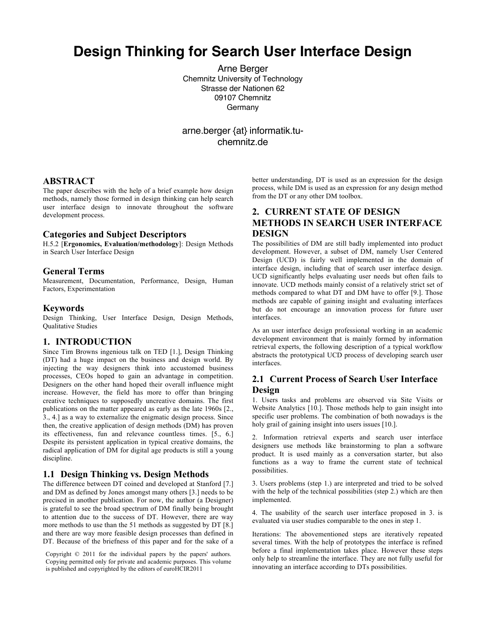# **Design Thinking for Search User Interface Design**

Arne Berger Chemnitz University of Technology Strasse der Nationen 62 09107 Chemnitz **Germany** 

arne.berger {at} informatik.tuchemnitz.de

## **ABSTRACT**

The paper describes with the help of a brief example how design methods, namely those formed in design thinking can help search user interface design to innovate throughout the software development process.

#### **Categories and Subject Descriptors**

H.5.2 [**Ergonomics, Evaluation/methodology**]: Design Methods in Search User Interface Design

#### **General Terms**

Measurement, Documentation, Performance, Design, Human Factors, Experimentation

#### **Keywords**

Design Thinking, User Interface Design, Design Methods, Qualitative Studies

#### **1. INTRODUCTION**

Since Tim Browns ingenious talk on TED [1.], Design Thinking (DT) had a huge impact on the business and design world. By injecting the way designers think into accustomed business processes, CEOs hoped to gain an advantage in competition. Designers on the other hand hoped their overall influence might increase. However, the field has more to offer than bringing creative techniques to supposedly uncreative domains. The first publications on the matter appeared as early as the late 1960s [2., 3., 4.] as a way to externalize the enigmatic design process. Since then, the creative application of design methods (DM) has proven its effectiveness, fun and relevance countless times. [5., 6.] Despite its persistent application in typical creative domains, the radical application of DM for digital age products is still a young discipline.

#### **1.1 Design Thinking vs. Design Methods**

The difference between DT coined and developed at Stanford [7.] and DM as defined by Jones amongst many others [3.] needs to be precised in another publication. For now, the author (a Designer) is grateful to see the broad spectrum of DM finally being brought to attention due to the success of DT. However, there are way more methods to use than the 51 methods as suggested by DT [8.] and there are way more feasible design processes than defined in DT. Because of the briefness of this paper and for the sake of a

Copyright © 2011 for the individual papers by the papers' authors. Copying permitted only for private and academic purposes. This volume is published and copyrighted by the editors of euroHCIR2011

better understanding, DT is used as an expression for the design process, while DM is used as an expression for any design method from the DT or any other DM toolbox.

# **2. CURRENT STATE OF DESIGN METHODS IN SEARCH USER INTERFACE DESIGN**

The possibilities of DM are still badly implemented into product development. However, a subset of DM, namely User Centered Design (UCD) is fairly well implemented in the domain of interface design, including that of search user interface design. UCD significantly helps evaluating user needs but often fails to innovate. UCD methods mainly consist of a relatively strict set of methods compared to what DT and DM have to offer [9.]. Those methods are capable of gaining insight and evaluating interfaces but do not encourage an innovation process for future user interfaces.

As an user interface design professional working in an academic development environment that is mainly formed by information retrieval experts, the following description of a typical workflow abstracts the prototypical UCD process of developing search user interfaces.

## **2.1 Current Process of Search User Interface Design**

1. Users tasks and problems are observed via Site Visits or Website Analytics [10.]. Those methods help to gain insight into specific user problems. The combination of both nowadays is the holy grail of gaining insight into users issues [10.].

2. Information retrieval experts and search user interface designers use methods like brainstorming to plan a software product. It is used mainly as a conversation starter, but also functions as a way to frame the current state of technical possibilities.

3. Users problems (step 1.) are interpreted and tried to be solved with the help of the technical possibilities (step 2.) which are then implemented.

4. The usability of the search user interface proposed in 3. is evaluated via user studies comparable to the ones in step 1.

Iterations: The abovementioned steps are iteratively repeated several times. With the help of prototypes the interface is refined before a final implementation takes place. However these steps only help to streamline the interface. They are not fully useful for innovating an interface according to DTs possibilities.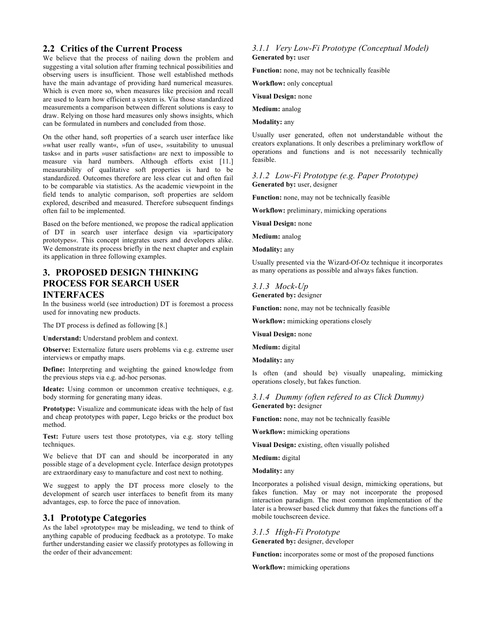## **2.2 Critics of the Current Process**

We believe that the process of nailing down the problem and suggesting a vital solution after framing technical possibilities and observing users is insufficient. Those well established methods have the main advantage of providing hard numerical measures. Which is even more so, when measures like precision and recall are used to learn how efficient a system is. Via those standardized measurements a comparison between different solutions is easy to draw. Relying on those hard measures only shows insights, which can be formulated in numbers and concluded from those.

On the other hand, soft properties of a search user interface like »what user really want«, »fun of use«, »suitability to unusual tasks« and in parts »user satisfaction« are next to impossible to measure via hard numbers. Although efforts exist [11.] measurability of qualitative soft properties is hard to be standardized. Outcomes therefore are less clear cut and often fail to be comparable via statistics. As the academic viewpoint in the field tends to analytic comparison, soft properties are seldom explored, described and measured. Therefore subsequent findings often fail to be implemented.

Based on the before mentioned, we propose the radical application of DT in search user interface design via »participatory prototypes«. This concept integrates users and developers alike. We demonstrate its process briefly in the next chapter and explain its application in three following examples.

## **3. PROPOSED DESIGN THINKING PROCESS FOR SEARCH USER INTERFACES**

In the business world (see introduction) DT is foremost a process used for innovating new products.

The DT process is defined as following [8.]

**Understand:** Understand problem and context.

**Observe:** Externalize future users problems via e.g. extreme user interviews or empathy maps.

**Define:** Interpreting and weighting the gained knowledge from the previous steps via e.g. ad-hoc personas.

Ideate: Using common or uncommon creative techniques, e.g. body storming for generating many ideas.

**Prototype:** Visualize and communicate ideas with the help of fast and cheap prototypes with paper, Lego bricks or the product box method.

Test: Future users test those prototypes, via e.g. story telling techniques.

We believe that DT can and should be incorporated in any possible stage of a development cycle. Interface design prototypes are extraordinary easy to manufacture and cost next to nothing.

We suggest to apply the DT process more closely to the development of search user interfaces to benefit from its many advantages, esp. to force the pace of innovation.

## **3.1 Prototype Categories**

As the label »prototype« may be misleading, we tend to think of anything capable of producing feedback as a prototype. To make further understanding easier we classify prototypes as following in the order of their advancement:

#### *3.1.1 Very Low-Fi Prototype (Conceptual Model)*  **Generated by:** user

**Function:** none, may not be technically feasible

**Workflow:** only conceptual

**Visual Design:** none

**Medium:** analog

**Modality:** any

Usually user generated, often not understandable without the creators explanations. It only describes a preliminary workflow of operations and functions and is not necessarily technically feasible.

*3.1.2 Low-Fi Prototype (e.g. Paper Prototype)*  **Generated by:** user, designer

**Function:** none, may not be technically feasible

**Workflow:** preliminary, mimicking operations

**Visual Design:** none

**Medium:** analog

**Modality:** any

Usually presented via the Wizard-Of-Oz technique it incorporates as many operations as possible and always fakes function.

*3.1.3 Mock-Up*  **Generated by:** designer

**Function:** none, may not be technically feasible

**Workflow:** mimicking operations closely

**Visual Design:** none

**Medium:** digital

**Modality:** any

Is often (and should be) visually unapealing, mimicking operations closely, but fakes function.

#### *3.1.4 Dummy (often refered to as Click Dummy)* **Generated by:** designer

**Function:** none, may not be technically feasible

**Workflow:** mimicking operations

**Visual Design:** existing, often visually polished

**Medium:** digital

**Modality:** any

Incorporates a polished visual design, mimicking operations, but fakes function. May or may not incorporate the proposed interaction paradigm. The most common implementation of the later is a browser based click dummy that fakes the functions off a mobile touchscreen device.

*3.1.5 High-Fi Prototype*

**Generated by:** designer, developer

**Function:** incorporates some or most of the proposed functions

**Workflow:** mimicking operations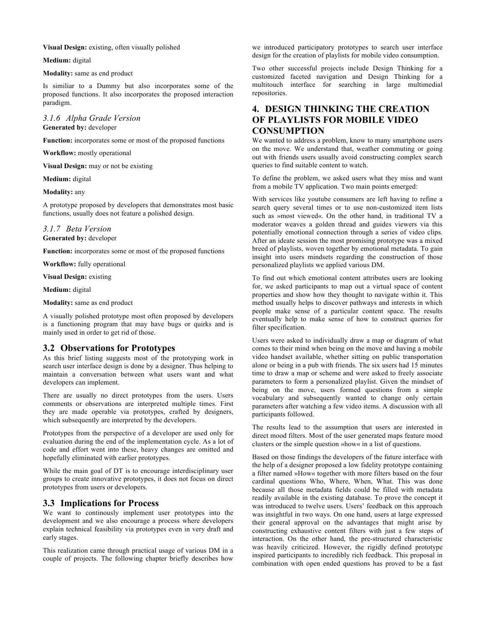**Visual Design:** existing, often visually polished

**Medium:** digital

#### **Modality:** same as end product

Is similiar to a Dummy but also incorporates some of the proposed functions. It also incorporates the proposed interaction paradigm.

#### *3.1.6 Alpha Grade Version* **Generated by:** developer

**Function:** incorporates some or most of the proposed functions

**Workflow:** mostly operational

**Visual Design:** may or not be existing

#### **Medium:** digital

**Modality:** any

A prototype proposed by developers that demonstrates most basic functions, usually does not feature a polished design.

## *3.1.7 Beta Version*

**Generated by:** developer

**Function:** incorporates some or most of the proposed functions

**Workflow:** fully operational

**Visual Design:** existing

**Medium:** digital

**Modality:** same as end product

A visually polished prototype most often proposed by developers is a functioning program that may have bugs or quirks and is mainly used in order to get rid of those.

#### **3.2 Observations for Prototypes**

As this brief listing suggests most of the prototyping work in search user interface design is done by a designer. Thus helping to maintain a conversation between what users want and what developers can implement.

There are usually no direct prototypes from the users. Users comments or observations are interpreted multiple times. First they are made operable via prototypes, crafted by designers, which subsequently are interpreted by the developers.

Prototypes from the perspective of a developer are used only for evaluation during the end of the implementation cycle. As a lot of code and effort went into these, heavy changes are omitted and hopefully eliminated with earlier prototypes.

While the main goal of DT is to encourage interdisciplinary user groups to create innovative prototypes, it does not focus on direct prototypes from users or developers.

#### **3.3 Implications for Process**

We want to continously implement user prototypes into the development and we also encourage a process where developers explain technical feasibility via prototypes even in very draft and early stages.

This realization came through practical usage of various DM in a couple of projects. The following chapter briefly describes how

we introduced participatory prototypes to search user interface design for the creation of playlists for mobile video consumption.

Two other successful projects include Design Thinking for a customized faceted navigation and Design Thinking for a multitouch interface for searching in large multimedial repositories.

# **4. DESIGN THINKING THE CREATION OF PLAYLISTS FOR MOBILE VIDEO CONSUMPTION**

We wanted to address a problem, know to many smartphone users on the move. We understand that, weather commuting or going out with friends users usually avoid constructing complex search queries to find suitable content to watch.

To define the problem, we asked users what they miss and want from a mobile TV application. Two main points emerged:

With services like youtube consumers are left having to refine a search query several times or to use non-customized item lists such as »most viewed«. On the other hand, in traditional TV a moderator weaves a golden thread and guides viewers via this potentially emotional connection through a series of video clips. After an ideate session the most promising prototype was a mixed breed of playlists, woven together by emotional metadata. To gain insight into users mindsets regarding the construction of those personalized playlists we applied various DM.

To find out which emotional content attributes users are looking for, we asked participants to map out a virtual space of content properties and show how they thought to navigate within it. This method usually helps to discover pathways and interests in which people make sense of a particular content space. The results eventually help to make sense of how to construct queries for filter specification.

Users were asked to individually draw a map or diagram of what comes to their mind when being on the move and having a mobile video handset available, whether sitting on public transportation alone or being in a pub with friends. The six users had 15 minutes time to draw a map or scheme and were asked to freely associate parameters to form a personalized playlist. Given the mindset of being on the move, users formed questions from a simple vocabulary and subsequently wanted to change only certain parameters after watching a few video items. A discussion with all participants followed.

The results lead to the assumption that users are interested in direct mood filters. Most of the user generated maps feature mood clusters or the simple question »how« in a list of questions.

Based on those findings the developers of the future interface with the help of a designer proposed a low fidelity prototype containing a filter named »How« together with more filters based on the four cardinal questions Who, Where, When, What. This was done because all those metadata fields could be filled with metadata readily available in the existing database. To prove the concept it was introduced to twelve users. Users' feedback on this approach was insightful in two ways. On one hand, users at large expressed their general approval on the advantages that might arise by constructing exhaustive content filters with just a few steps of interaction. On the other hand, the pre-structured characteristic was heavily criticized. However, the rigidly defined prototype inspired participants to incredibly rich feedback. This proposal in combination with open ended questions has proved to be a fast